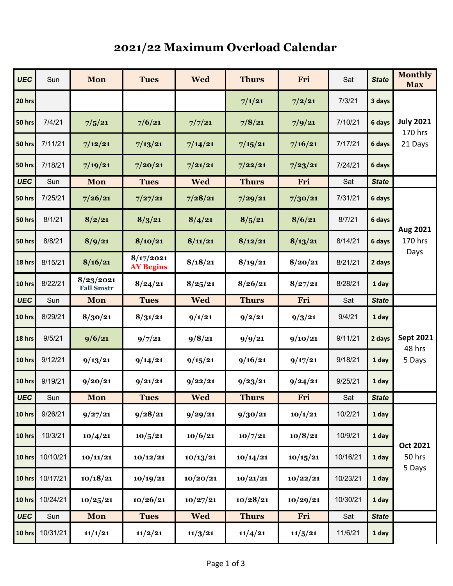## **2021/22 Maximum Overload Calendar**

| <b>UEC</b>    | Sun      | Mon                            | <b>Tues</b>                   | <b>Wed</b> | <b>Thurs</b> | Fri      | Sat      | <b>State</b> | <b>Monthly</b><br><b>Max</b>           |
|---------------|----------|--------------------------------|-------------------------------|------------|--------------|----------|----------|--------------|----------------------------------------|
| 20 hrs        |          |                                |                               |            | 7/1/21       | 7/2/21   | 7/3/21   | 3 days       | <b>July 2021</b><br>170 hrs<br>21 Days |
| 50 hrs        | 7/4/21   | 7/5/21                         | 7/6/21                        | 7/7/21     | 7/8/21       | 7/9/21   | 7/10/21  | 6 days       |                                        |
| 50 hrs        | 7/11/21  | 7/12/21                        | 7/13/21                       | 7/14/21    | 7/15/21      | 7/16/21  | 7/17/21  | 6 days       |                                        |
| 50 hrs        | 7/18/21  | 7/19/21                        | 7/20/21                       | 7/21/21    | 7/22/21      | 7/23/21  | 7/24/21  | 6 days       |                                        |
| <b>UEC</b>    | Sun      | Mon                            | <b>Tues</b>                   | <b>Wed</b> | <b>Thurs</b> | Fri      | Sat      | <b>State</b> |                                        |
| 50 hrs        | 7/25/21  | 7/26/21                        | 7/27/21                       | 7/28/21    | 7/29/21      | 7/30/21  | 7/31/21  | 6 days       |                                        |
| 50 hrs        | 8/1/21   | 8/2/21                         | 8/3/21                        | 8/4/21     | 8/5/21       | 8/6/21   | 8/7/21   | 6 days       | Aug 2021<br>170 hrs<br>Days            |
| 50 hrs        | 8/8/21   | 8/9/21                         | 8/10/21                       | 8/11/21    | 8/12/21      | 8/13/21  | 8/14/21  | 6 days       |                                        |
| 18 hrs        | 8/15/21  | 8/16/21                        | 8/17/2021<br><b>AY Begins</b> | 8/18/21    | 8/19/21      | 8/20/21  | 8/21/21  | 2 days       |                                        |
| 10 hrs        | 8/22/21  | 8/23/2021<br><b>Fall Smstr</b> | 8/24/21                       | 8/25/21    | 8/26/21      | 8/27/21  | 8/28/21  | 1 day        |                                        |
| <b>UEC</b>    | Sun      | Mon                            | <b>Tues</b>                   | <b>Wed</b> | <b>Thurs</b> | Fri      | Sat      | <b>State</b> |                                        |
| 10 hrs        | 8/29/21  | 8/30/21                        | 8/31/21                       | 9/1/21     | 9/2/21       | 9/3/21   | 9/4/21   | 1 day        | <b>Sept 2021</b><br>48 hrs<br>5 Days   |
| 18 hrs        | 9/5/21   | 9/6/21                         | 9/7/21                        | 9/8/21     | 9/9/21       | 9/10/21  | 9/11/21  | 2 days       |                                        |
| 10 hrs        | 9/12/21  | 9/13/21                        | 9/14/21                       | 9/15/21    | 9/16/21      | 9/17/21  | 9/18/21  | 1 day        |                                        |
| 10 hrs        | 9/19/21  | 9/20/21                        | 9/21/21                       | 9/22/21    | 9/23/21      | 9/24/21  | 9/25/21  | 1 day        |                                        |
| <b>UEC</b>    | Sun      | Mon                            | Tues                          | <b>Wed</b> | <b>Thurs</b> | Fri      | Sat      | <b>State</b> |                                        |
| $10$ hrs      | 9/26/21  | 9/27/21                        | 9/28/21                       | 9/29/21    | 9/30/21      | 10/1/21  | 10/2/21  | 1 day        |                                        |
| 10 hrs        | 10/3/21  | 10/4/21                        | 10/5/21                       | 10/6/21    | 10/7/21      | 10/8/21  | 10/9/21  | 1 day        | Oct 2021<br>50 hrs<br>5 Days           |
| 10 hrs        | 10/10/21 | 10/11/21                       | 10/12/21                      | 10/13/21   | 10/14/21     | 10/15/21 | 10/16/21 | 1 day        |                                        |
| $10$ hrs      | 10/17/21 | 10/18/21                       | 10/19/21                      | 10/20/21   | 10/21/21     | 10/22/21 | 10/23/21 | 1 day        |                                        |
| 10 hrs        | 10/24/21 | 10/25/21                       | 10/26/21                      | 10/27/21   | 10/28/21     | 10/29/21 | 10/30/21 | 1 day        |                                        |
| <b>UEC</b>    | Sun      | Mon                            | <b>Tues</b>                   | <b>Wed</b> | <b>Thurs</b> | Fri      | Sat      | <b>State</b> |                                        |
| <b>10 hrs</b> | 10/31/21 | 11/1/21                        | 11/2/21                       | 11/3/21    | 11/4/21      | 11/5/21  | 11/6/21  | 1 day        |                                        |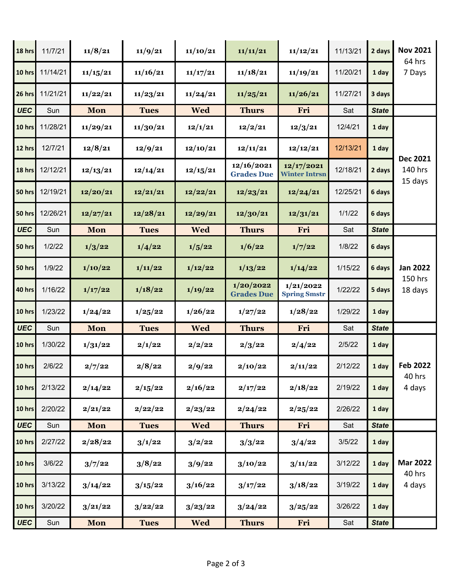| 18 hrs     | 11/7/21  | 11/8/21    | 11/9/21     | 11/10/21   | 11/11/21                        | 11/12/21                           | 11/13/21 | 2 days       | <b>Nov 2021</b>                       |
|------------|----------|------------|-------------|------------|---------------------------------|------------------------------------|----------|--------------|---------------------------------------|
| 10 hrs     | 11/14/21 | 11/15/21   | 11/16/21    | 11/17/21   | 11/18/21                        | 11/19/21                           | 11/20/21 | 1 day        | 64 hrs<br>7 Days                      |
| 26 hrs     | 11/21/21 | 11/22/21   | 11/23/21    | 11/24/21   | 11/25/21                        | 11/26/21                           | 11/27/21 | 3 days       |                                       |
| <b>UEC</b> | Sun      | Mon        | <b>Tues</b> | <b>Wed</b> | <b>Thurs</b>                    | Fri                                | Sat      | <b>State</b> |                                       |
| 10 hrs     | 11/28/21 | 11/29/21   | 11/30/21    | 12/1/21    | 12/2/21                         | 12/3/21                            | 12/4/21  | 1 day        | <b>Dec 2021</b><br>140 hrs<br>15 days |
| 12 hrs     | 12/7/21  | 12/8/21    | 12/9/21     | 12/10/21   | 12/11/21                        | 12/12/21                           | 12/13/21 | 1 day        |                                       |
| 18 hrs     | 12/12/21 | 12/13/21   | 12/14/21    | 12/15/21   | 12/16/2021<br><b>Grades Due</b> | 12/17/2021<br><b>Winter Intrsn</b> | 12/18/21 | 2 days       |                                       |
| 50 hrs     | 12/19/21 | 12/20/21   | 12/21/21    | 12/22/21   | 12/23/21                        | 12/24/21                           | 12/25/21 | 6 days       |                                       |
| 50 hrs     | 12/26/21 | 12/27/21   | 12/28/21    | 12/29/21   | 12/30/21                        | 12/31/21                           | 1/1/22   | 6 days       |                                       |
| <b>UEC</b> | Sun      | Mon        | <b>Tues</b> | <b>Wed</b> | <b>Thurs</b>                    | Fri                                | Sat      | <b>State</b> |                                       |
| 50 hrs     | 1/2/22   | 1/3/22     | 1/4/22      | 1/5/22     | 1/6/22                          | 1/7/22                             | 1/8/22   | 6 days       |                                       |
| 50 hrs     | 1/9/22   | 1/10/22    | 1/11/22     | 1/12/22    | 1/13/22                         | 1/14/22                            | 1/15/22  | 6 days       | <b>Jan 2022</b><br>150 hrs<br>18 days |
| 40 hrs     | 1/16/22  | 1/17/22    | 1/18/22     | 1/19/22    | 1/20/2022<br><b>Grades Due</b>  | 1/21/2022<br><b>Spring Smstr</b>   | 1/22/22  | 5 days       |                                       |
| 10 hrs     | 1/23/22  | 1/24/22    | 1/25/22     | 1/26/22    | 1/27/22                         | 1/28/22                            | 1/29/22  | 1 day        |                                       |
| <b>UEC</b> | Sun      | Mon        | <b>Tues</b> | <b>Wed</b> | <b>Thurs</b>                    | Fri                                | Sat      | <b>State</b> |                                       |
| 10 hrs     | 1/30/22  | 1/31/22    | 2/1/22      | 2/2/22     | 2/3/22                          | 2/4/22                             | 2/5/22   | 1 day        |                                       |
| 10 hrs     | 2/6/22   | 2/7/22     | 2/8/22      | 2/9/22     | 2/10/22                         | 2/11/22                            | 2/12/22  | 1 day        | <b>Feb 2022</b><br>40 hrs             |
| 10 hrs     | 2/13/22  | 2/14/22    | 2/15/22     | 2/16/22    | 2/17/22                         | 2/18/22                            | 2/19/22  | 1 day        | 4 days                                |
| 10 hrs     | 2/20/22  | 2/21/22    | 2/22/22     | 2/23/22    | 2/24/22                         | 2/25/22                            | 2/26/22  | 1 day        |                                       |
| <b>UEC</b> | Sun      | Mon        | <b>Tues</b> | <b>Wed</b> | <b>Thurs</b>                    | Fri                                | Sat      | <b>State</b> |                                       |
| 10 hrs     | 2/27/22  | 2/28/22    | 3/1/22      | 3/2/22     | 3/3/22                          | 3/4/22                             | 3/5/22   | 1 day        | <b>Mar 2022</b><br>40 hrs<br>4 days   |
| 10 hrs     | 3/6/22   | 3/7/22     | 3/8/22      | 3/9/22     | 3/10/22                         | 3/11/22                            | 3/12/22  | 1 day        |                                       |
| 10 hrs     | 3/13/22  | 3/14/22    | 3/15/22     | 3/16/22    | 3/17/22                         | 3/18/22                            | 3/19/22  | 1 day        |                                       |
| 10 hrs     | 3/20/22  | 3/21/22    | 3/22/22     | 3/23/22    | 3/24/22                         | 3/25/22                            | 3/26/22  | 1 day        |                                       |
| <b>UEC</b> | Sun      | <b>Mon</b> | <b>Tues</b> | <b>Wed</b> | <b>Thurs</b>                    | Fri                                | Sat      | <b>State</b> |                                       |